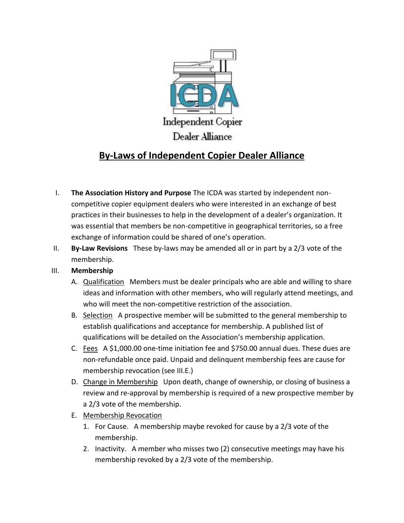

# **By-Laws of Independent Copier Dealer Alliance**

- I. **The Association History and Purpose** The ICDA was started by independent noncompetitive copier equipment dealers who were interested in an exchange of best practices in their businesses to help in the development of a dealer's organization. It was essential that members be non-competitive in geographical territories, so a free exchange of information could be shared of one's operation.
- II. **By-Law Revisions** These by-laws may be amended all or in part by a 2/3 vote of the membership.

## III. **Membership**

- A. Qualification Members must be dealer principals who are able and willing to share ideas and information with other members, who will regularly attend meetings, and who will meet the non-competitive restriction of the association.
- B. Selection A prospective member will be submitted to the general membership to establish qualifications and acceptance for membership. A published list of qualifications will be detailed on the Association's membership application.
- C. Fees A \$1,000.00 one-time initiation fee and \$750.00 annual dues. These dues are non-refundable once paid. Unpaid and delinquent membership fees are cause for membership revocation (see III.E.)
- D. Change in Membership Upon death, change of ownership, or closing of business a review and re-approval by membership is required of a new prospective member by a 2/3 vote of the membership.
- E. Membership Revocation
	- 1. For Cause. A membership maybe revoked for cause by a 2/3 vote of the membership.
	- 2. Inactivity. A member who misses two (2) consecutive meetings may have his membership revoked by a 2/3 vote of the membership.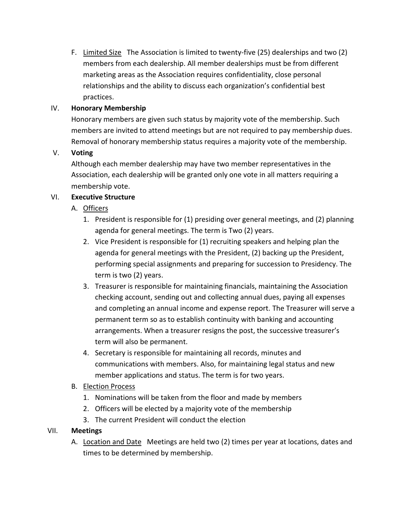F. Limited Size The Association is limited to twenty-five (25) dealerships and two (2) members from each dealership. All member dealerships must be from different marketing areas as the Association requires confidentiality, close personal relationships and the ability to discuss each organization's confidential best practices.

# IV. **Honorary Membership**

Honorary members are given such status by majority vote of the membership. Such members are invited to attend meetings but are not required to pay membership dues. Removal of honorary membership status requires a majority vote of the membership.

# V. **Voting**

Although each member dealership may have two member representatives in the Association, each dealership will be granted only one vote in all matters requiring a membership vote.

# VI. **Executive Structure**

- A. Officers
	- 1. President is responsible for (1) presiding over general meetings, and (2) planning agenda for general meetings. The term is Two (2) years.
	- 2. Vice President is responsible for (1) recruiting speakers and helping plan the agenda for general meetings with the President, (2) backing up the President, performing special assignments and preparing for succession to Presidency. The term is two (2) years.
	- 3. Treasurer is responsible for maintaining financials, maintaining the Association checking account, sending out and collecting annual dues, paying all expenses and completing an annual income and expense report. The Treasurer will serve a permanent term so as to establish continuity with banking and accounting arrangements. When a treasurer resigns the post, the successive treasurer's term will also be permanent.
	- 4. Secretary is responsible for maintaining all records, minutes and communications with members. Also, for maintaining legal status and new member applications and status. The term is for two years.

## B. Election Process

- 1. Nominations will be taken from the floor and made by members
- 2. Officers will be elected by a majority vote of the membership
- 3. The current President will conduct the election

## VII. **Meetings**

A. Location and Date Meetings are held two (2) times per year at locations, dates and times to be determined by membership.